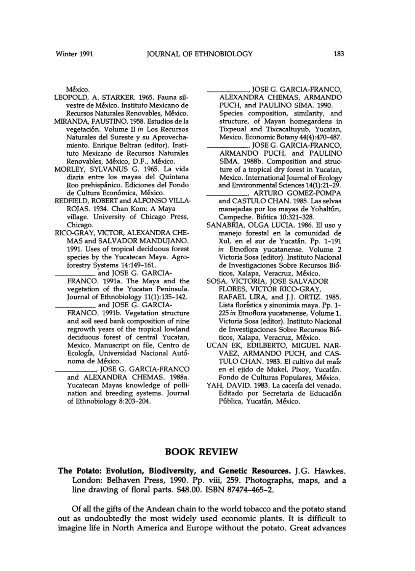México.

- LEOPOLD, A. STARKER. 1965. Fauna silvestre de Mexico. Instituto Mexicano de Recursos Naturales Renovables, México.
- MIRANDA, FAUSTINO. 1958. Estudios de la vegetaci6n. Volume II *in* Los Recursos Naturales del Sureste y su Aprovechamiento. Enrique Beltran (editor). Instituto Mexicano de Recursos Naturales Renovables, México, D.F., México.
- MORLEY, SYLVANUS G. 1965. La vida diaria entre los mayas del Quintana Roo prehispánico. Ediciones del Fondo de Cultura Económica, México.
- REDFIELD, ROBERT and ALFONSO VILLA-ROJAS. 1934. Chan Kom: A Maya village. University of Chicago Press, Chicago.
- RICO-GRAY, VICTOR, ALEXANDRA CHE-MAS and SALVADOR MANDUJANO. 1991. Uses of tropical deciduous forest species by the Yucatecan Maya. Agroforestry Systems 14:149-161.<br>and JOSE G. GARCIA-

- FRANCO. 1991a. The Maya and the vegetation of the Yucatan Peninsula. Journal of Ethnobiology 11(1):135-142.
	- FRANCO. 1991b. Vegetation structure and soil seed bank composition of nine regrowth years of the tropical lowland deciduous forest of central Yucatan, Mexico. Manuscript on file, Centro de Ecología, Universidad Nacional Autónoma de Mexico.
	- \_\_\_\_, JOSE G. GARCIA-FRANCO and ALEXANDRA CHEMAS. 1988a. Yucatecan Mayas knowledge of pollination and breeding systems. Journal of Ethnobiology 8:203-204.

\_\_\_\_"JOSE G. GARCIA-FRANCO, ALEXANDRA CHEMAS, ARMANDO PUCH, and PAULINO SIMA. 1990.

Species composition, similarity, and structure, of Mayan homegardens in Tixpeual and Tixcacaltuyub, Yucatan, Mexico. Economic Botany 44(4):470-487.<br>JOSE G. GARCIA-FRANCO,

- ARMANDO PUCH, and PAULINO SIMA. 1988b. Composition and structure of a tropical dry forest in Yucatan, Mexico. International Journal of Ecology and Environmental Sciences 14(1):21-29.<br>ARTURO GOMEZ-POMPA
- and CASTULO CHAN. 1985. Las selvas manejadas por los mayas de Yohaltún, Campeche. Biotica 10:321-328.
- SANABRIA, OLGA LUCIA. 1986. EI uso y manejo forestal en la comunidad de Xul, en el sur de Yucatan. Pp. 1-191 *in* Etnoflora yucatanense. Volume 2 Victoria Sosa (editor). Instituto Nacional de Investigaciones Sobre Recursos Bioticos, Xalapa, Veracruz, México.
- SOSA, VICTORIA, JOSE SALVADOR FLORES, VICTOR RICO-GRAY, RAFAEL LIRA, and J.J. ORTIZ. 1985. Lista florística y sinonimia maya. Pp. 1-*225 in* Etnoflora yucatanense, Volume 1. Victoria Sosa (editor). Instituto Nacional de Investigaciones Sobre Recursos Bi6 ticos, Xalapa, Veracruz, México.
- UCAN EK, EDILBERTO, MIGUEL NAR-VAEZ, ARMANDO PUCH, and CAS-TULO CHAN. 1983. EI cultivo del malz en el ejido de Mukel, Pixoy, Yucatán. Fondo de Culturas Populares, México.
- YAH, DAVID. 1983. La cacería del venado. Editado por Secretaria de Educación Pública, Yucatán, México.

## BOOK REVIEW

## The Potato: Evolution, Biodiversity, and Genetic Resources. J.G. Hawkes. London: Belhaven Press, 1990. Pp. viii, 259. Photographs, maps, and a line drawing of floral parts. \$48.00. ISBN 87474-465-2.

Of all the gifts of the Andean chain to the world tobacco and the potato stand out as undoubtedly the most widely used economic plants. It is difficult to imagine life in North America and Europe without the potato. Great advances